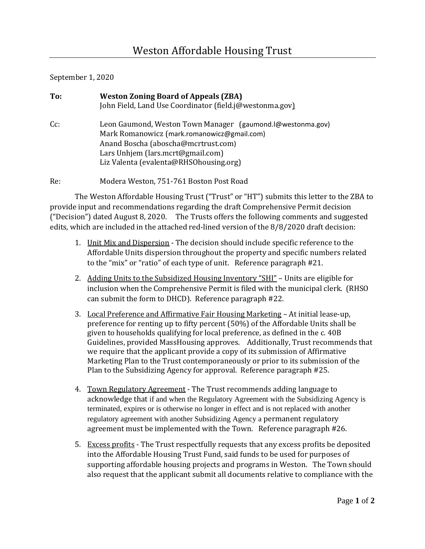## September 1, 2020

| To: | <b>Weston Zoning Board of Appeals (ZBA)</b><br>John Field, Land Use Coordinator (field.j@westonma.gov)                                                                                                                           |
|-----|----------------------------------------------------------------------------------------------------------------------------------------------------------------------------------------------------------------------------------|
| Cc: | Leon Gaumond, Weston Town Manager (gaumond. I@westonma.gov)<br>Mark Romanowicz (mark.romanowicz@gmail.com)<br>Anand Boscha (aboscha@mcrtrust.com)<br>Lars Unhjem (lars.mcrt@gmail.com)<br>Liz Valenta (evalenta@RHSOhousing.org) |

Re: Modera Weston, 751-761 Boston Post Road

The Weston Affordable Housing Trust ("Trust" or "HT") submits this letter to the ZBA to provide input and recommendations regarding the draft Comprehensive Permit decision ("Decision") dated August 8, 2020. The Trusts offers the following comments and suggested edits, which are included in the attached red-lined version of the 8/8/2020 draft decision:

- 1. Unit Mix and Dispersion The decision should include specific reference to the Affordable Units dispersion throughout the property and specific numbers related to the "mix" or "ratio" of each type of unit. Reference paragraph #21.
- 2. Adding Units to the Subsidized Housing Inventory "SHI" Units are eligible for inclusion when the Comprehensive Permit is filed with the municipal clerk. (RHSO can submit the form to DHCD). Reference paragraph #22.
- 3. Local Preference and Affirmative Fair Housing Marketing At initial lease-up, preference for renting up to fifty percent (50%) of the Affordable Units shall be given to households qualifying for local preference, as defined in the c. 40B Guidelines, provided MassHousing approves. Additionally, Trust recommends that we require that the applicant provide a copy of its submission of Affirmative Marketing Plan to the Trust contemporaneously or prior to its submission of the Plan to the Subsidizing Agency for approval. Reference paragraph #25.
- 4. Town Regulatory Agreement The Trust recommends adding language to acknowledge that if and when the Regulatory Agreement with the Subsidizing Agency is terminated, expires or is otherwise no longer in effect and is not replaced with another regulatory agreement with another Subsidizing Agency a permanent regulatory agreement must be implemented with the Town. Reference paragraph #26.
- 5. Excess profits The Trust respectfully requests that any excess profits be deposited into the Affordable Housing Trust Fund, said funds to be used for purposes of supporting affordable housing projects and programs in Weston. The Town should also request that the applicant submit all documents relative to compliance with the